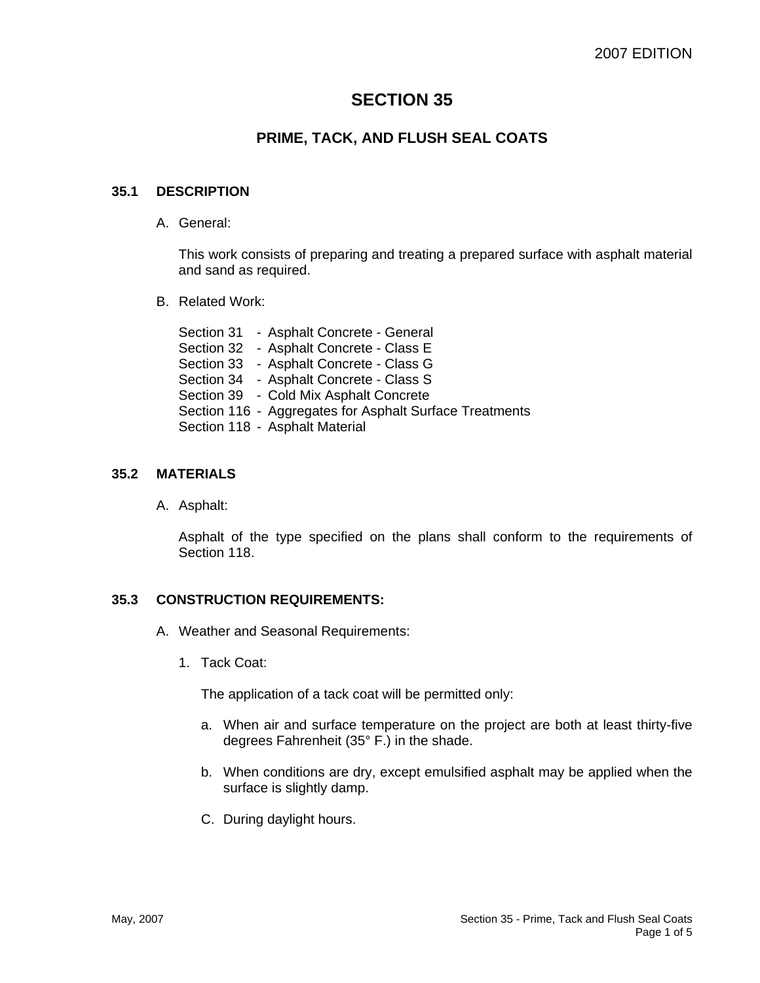# **SECTION 35**

# **PRIME, TACK, AND FLUSH SEAL COATS**

#### **35.1 DESCRIPTION**

A. General:

This work consists of preparing and treating a prepared surface with asphalt material and sand as required.

B. Related Work:

Section 31 - Asphalt Concrete - General Section 32 - Asphalt Concrete - Class E Section 33 - Asphalt Concrete - Class G Section 34 - Asphalt Concrete - Class S Section 39 - Cold Mix Asphalt Concrete Section 116 - Aggregates for Asphalt Surface Treatments Section 118 - Asphalt Material

## **35.2 MATERIALS**

A. Asphalt:

Asphalt of the type specified on the plans shall conform to the requirements of Section 118.

## **35.3 CONSTRUCTION REQUIREMENTS:**

- A. Weather and Seasonal Requirements:
	- 1. Tack Coat:

The application of a tack coat will be permitted only:

- a. When air and surface temperature on the project are both at least thirty-five degrees Fahrenheit (35° F.) in the shade.
- b. When conditions are dry, except emulsified asphalt may be applied when the surface is slightly damp.
- C. During daylight hours.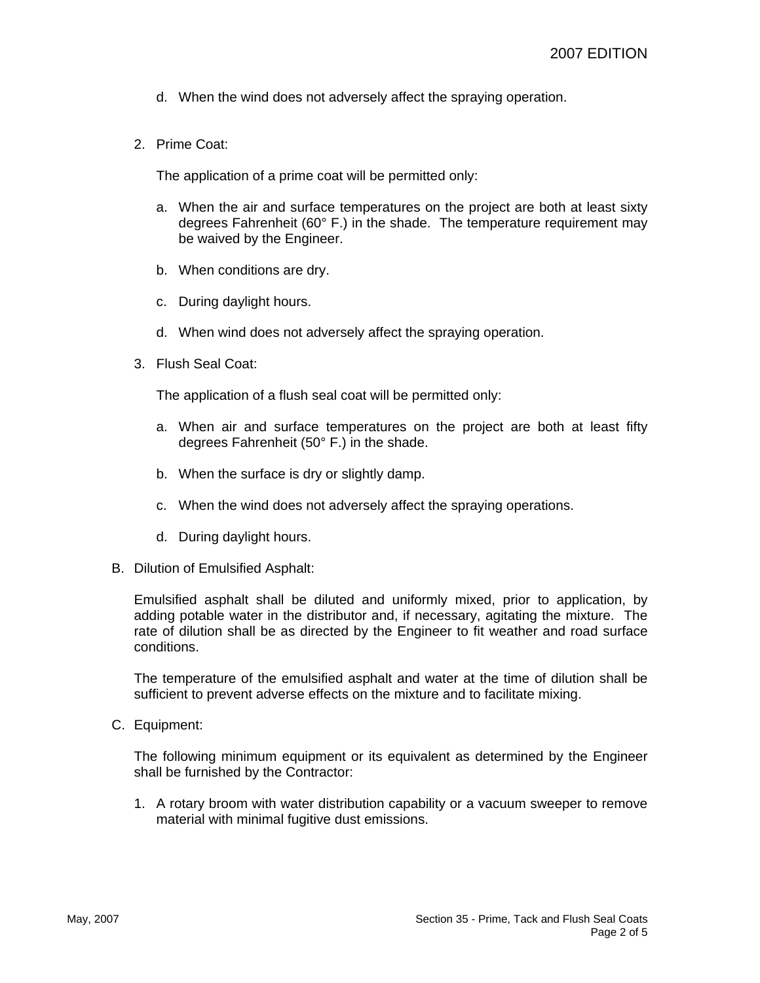- d. When the wind does not adversely affect the spraying operation.
- 2. Prime Coat:

The application of a prime coat will be permitted only:

- a. When the air and surface temperatures on the project are both at least sixty degrees Fahrenheit (60 $^{\circ}$  F.) in the shade. The temperature requirement may be waived by the Engineer.
- b. When conditions are dry.
- c. During daylight hours.
- d. When wind does not adversely affect the spraying operation.
- 3. Flush Seal Coat:

The application of a flush seal coat will be permitted only:

- a. When air and surface temperatures on the project are both at least fifty degrees Fahrenheit (50° F.) in the shade.
- b. When the surface is dry or slightly damp.
- c. When the wind does not adversely affect the spraying operations.
- d. During daylight hours.
- B. Dilution of Emulsified Asphalt:

Emulsified asphalt shall be diluted and uniformly mixed, prior to application, by adding potable water in the distributor and, if necessary, agitating the mixture. The rate of dilution shall be as directed by the Engineer to fit weather and road surface conditions.

The temperature of the emulsified asphalt and water at the time of dilution shall be sufficient to prevent adverse effects on the mixture and to facilitate mixing.

C. Equipment:

The following minimum equipment or its equivalent as determined by the Engineer shall be furnished by the Contractor:

1. A rotary broom with water distribution capability or a vacuum sweeper to remove material with minimal fugitive dust emissions.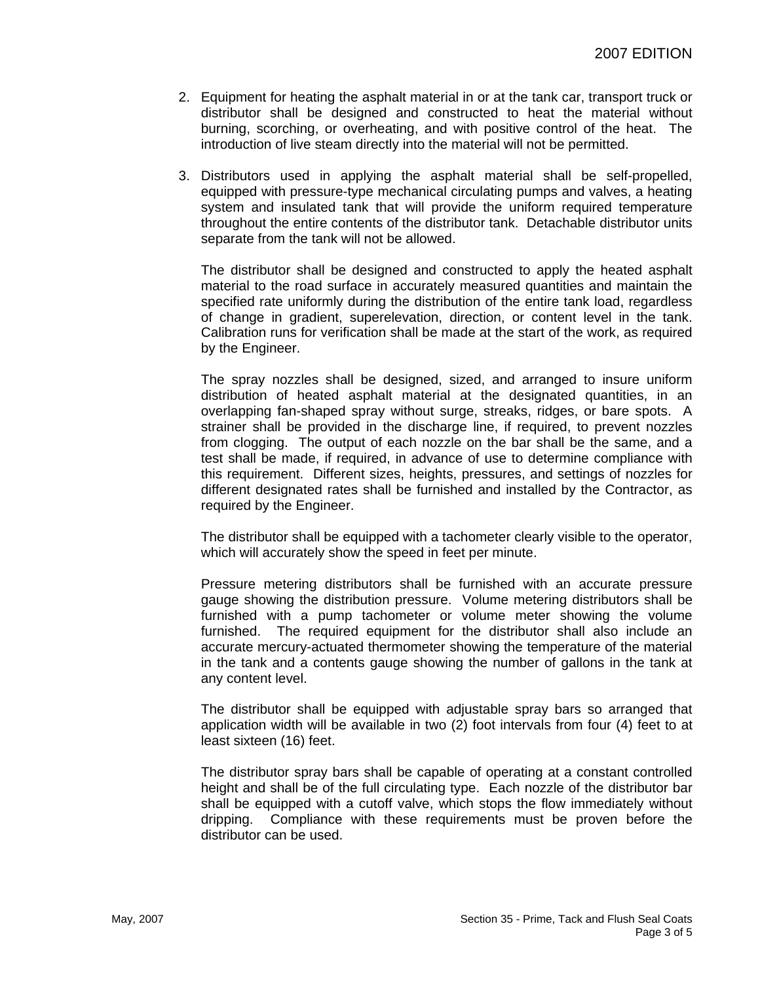- 2. Equipment for heating the asphalt material in or at the tank car, transport truck or distributor shall be designed and constructed to heat the material without burning, scorching, or overheating, and with positive control of the heat. The introduction of live steam directly into the material will not be permitted.
- 3. Distributors used in applying the asphalt material shall be self-propelled, equipped with pressure-type mechanical circulating pumps and valves, a heating system and insulated tank that will provide the uniform required temperature throughout the entire contents of the distributor tank. Detachable distributor units separate from the tank will not be allowed.

The distributor shall be designed and constructed to apply the heated asphalt material to the road surface in accurately measured quantities and maintain the specified rate uniformly during the distribution of the entire tank load, regardless of change in gradient, superelevation, direction, or content level in the tank. Calibration runs for verification shall be made at the start of the work, as required by the Engineer.

The spray nozzles shall be designed, sized, and arranged to insure uniform distribution of heated asphalt material at the designated quantities, in an overlapping fan-shaped spray without surge, streaks, ridges, or bare spots. A strainer shall be provided in the discharge line, if required, to prevent nozzles from clogging. The output of each nozzle on the bar shall be the same, and a test shall be made, if required, in advance of use to determine compliance with this requirement. Different sizes, heights, pressures, and settings of nozzles for different designated rates shall be furnished and installed by the Contractor, as required by the Engineer.

The distributor shall be equipped with a tachometer clearly visible to the operator, which will accurately show the speed in feet per minute.

Pressure metering distributors shall be furnished with an accurate pressure gauge showing the distribution pressure. Volume metering distributors shall be furnished with a pump tachometer or volume meter showing the volume furnished. The required equipment for the distributor shall also include an accurate mercury-actuated thermometer showing the temperature of the material in the tank and a contents gauge showing the number of gallons in the tank at any content level.

The distributor shall be equipped with adjustable spray bars so arranged that application width will be available in two (2) foot intervals from four (4) feet to at least sixteen (16) feet.

The distributor spray bars shall be capable of operating at a constant controlled height and shall be of the full circulating type. Each nozzle of the distributor bar shall be equipped with a cutoff valve, which stops the flow immediately without dripping. Compliance with these requirements must be proven before the distributor can be used.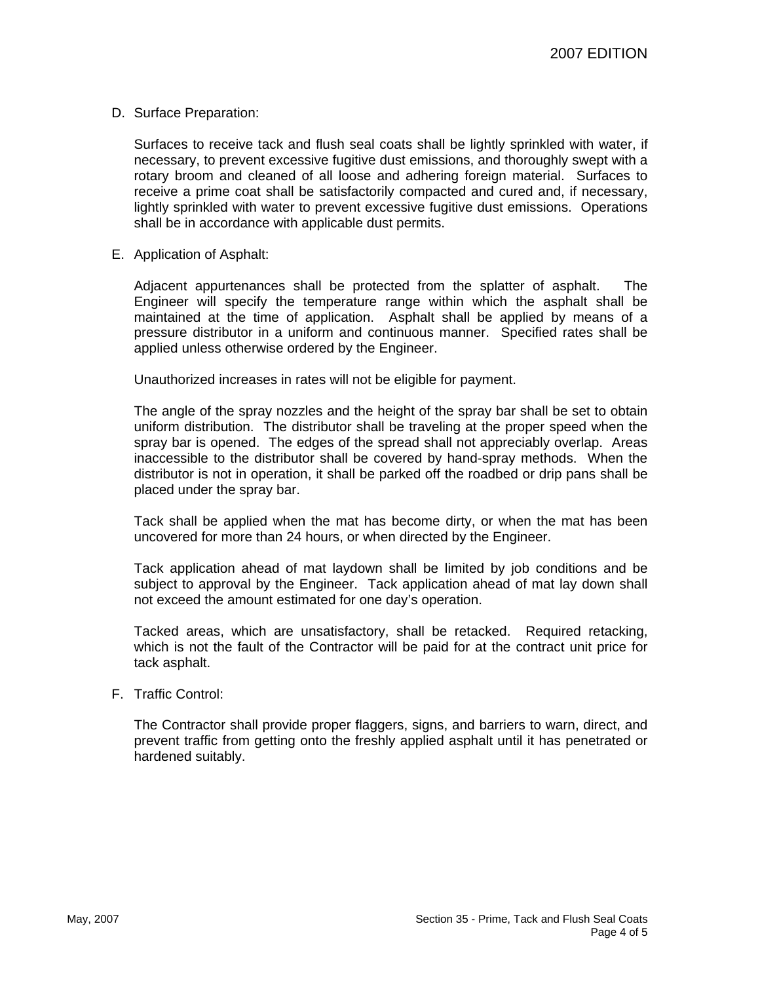D. Surface Preparation:

Surfaces to receive tack and flush seal coats shall be lightly sprinkled with water, if necessary, to prevent excessive fugitive dust emissions, and thoroughly swept with a rotary broom and cleaned of all loose and adhering foreign material. Surfaces to receive a prime coat shall be satisfactorily compacted and cured and, if necessary, lightly sprinkled with water to prevent excessive fugitive dust emissions. Operations shall be in accordance with applicable dust permits.

E. Application of Asphalt:

Adjacent appurtenances shall be protected from the splatter of asphalt. The Engineer will specify the temperature range within which the asphalt shall be maintained at the time of application. Asphalt shall be applied by means of a pressure distributor in a uniform and continuous manner. Specified rates shall be applied unless otherwise ordered by the Engineer.

Unauthorized increases in rates will not be eligible for payment.

The angle of the spray nozzles and the height of the spray bar shall be set to obtain uniform distribution. The distributor shall be traveling at the proper speed when the spray bar is opened. The edges of the spread shall not appreciably overlap. Areas inaccessible to the distributor shall be covered by hand-spray methods. When the distributor is not in operation, it shall be parked off the roadbed or drip pans shall be placed under the spray bar.

Tack shall be applied when the mat has become dirty, or when the mat has been uncovered for more than 24 hours, or when directed by the Engineer.

Tack application ahead of mat laydown shall be limited by job conditions and be subject to approval by the Engineer. Tack application ahead of mat lay down shall not exceed the amount estimated for one day's operation.

Tacked areas, which are unsatisfactory, shall be retacked. Required retacking, which is not the fault of the Contractor will be paid for at the contract unit price for tack asphalt.

F. Traffic Control:

The Contractor shall provide proper flaggers, signs, and barriers to warn, direct, and prevent traffic from getting onto the freshly applied asphalt until it has penetrated or hardened suitably.